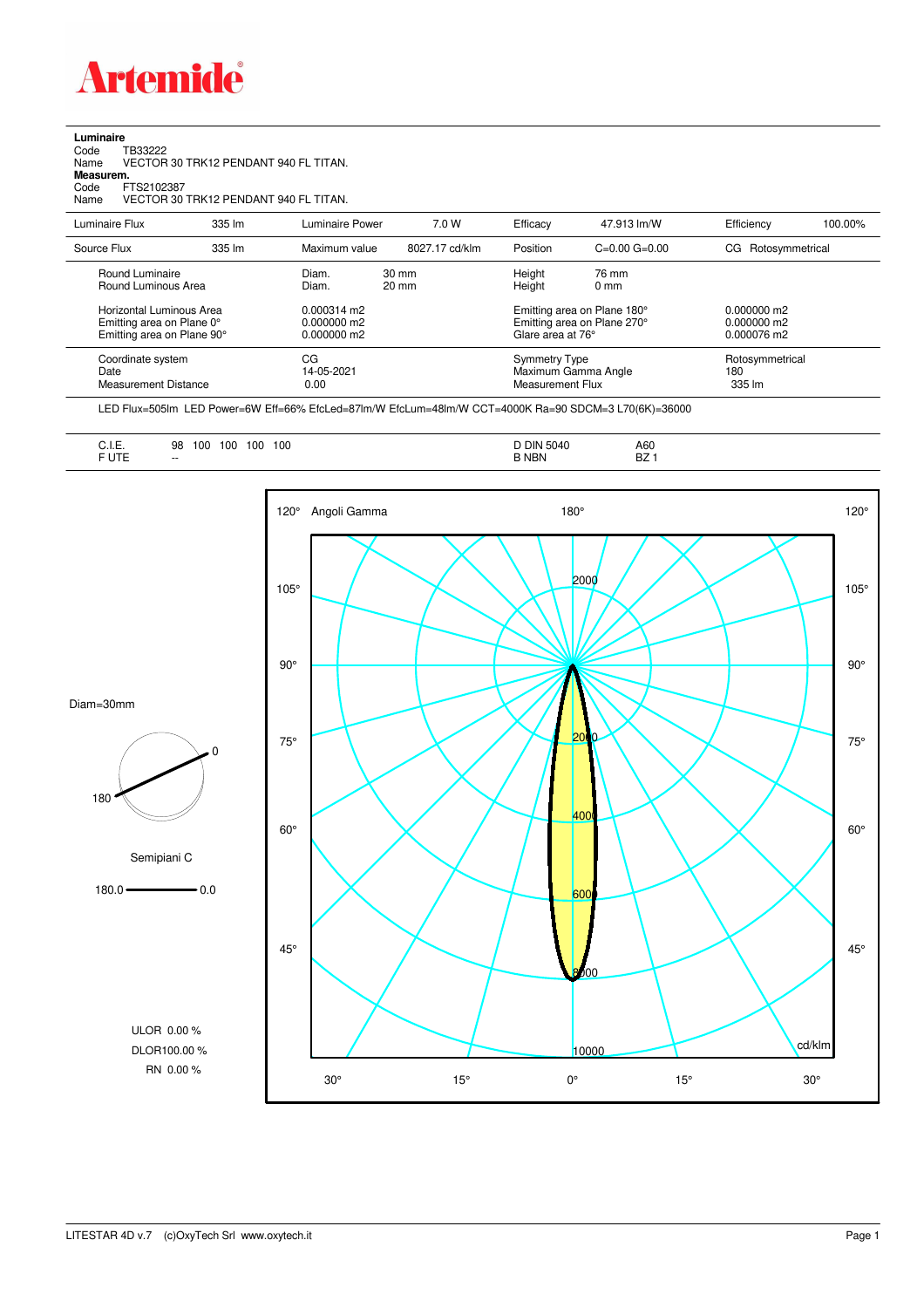

**Luminaire**

| 335 lm                                                                              |      | 7.0 W                                                                                                                                                                                | Efficacy         | 47.913 lm/W              | Efficiency                                                                                                                                                | 100.00%            |
|-------------------------------------------------------------------------------------|------|--------------------------------------------------------------------------------------------------------------------------------------------------------------------------------------|------------------|--------------------------|-----------------------------------------------------------------------------------------------------------------------------------------------------------|--------------------|
| 335 lm                                                                              |      | 8027.17 cd/klm                                                                                                                                                                       | Position         | $C = 0.00$ $G = 0.00$    |                                                                                                                                                           |                    |
|                                                                                     |      | 30 mm<br>$20 \text{ mm}$                                                                                                                                                             | Height<br>Height | 76 mm<br>0 <sub>mm</sub> |                                                                                                                                                           |                    |
| Horizontal Luminous Area<br>Emitting area on Plane 0°<br>Emitting area on Plane 90° |      |                                                                                                                                                                                      |                  |                          | $0.000000$ m2<br>0.000000 m2<br>0.000076 m2                                                                                                               |                    |
|                                                                                     | 0.00 |                                                                                                                                                                                      |                  |                          | Rotosymmetrical<br>180<br>335 lm                                                                                                                          |                    |
|                                                                                     |      | VECTOR 30 TRK12 PENDANT 940 FL TITAN.<br>VECTOR 30 TRK12 PENDANT 940 FL TITAN.<br>Maximum value<br>Diam.<br>Diam.<br>$0.000314$ m2<br>0.000000 m2<br>0.000000 m2<br>CG<br>14-05-2021 | Luminaire Power  |                          | Emitting area on Plane 180°<br>Emitting area on Plane 270°<br>Glare area at 76°<br><b>Symmetry Type</b><br>Maximum Gamma Angle<br><b>Measurement Flux</b> | CG Rotosymmetrical |

LED Flux=505lm LED Power=6W Eff=66% EfcLed=87lm/W EfcLum=48lm/W CCT=4000K Ra=90 SDCM=3 L70(6K)=36000